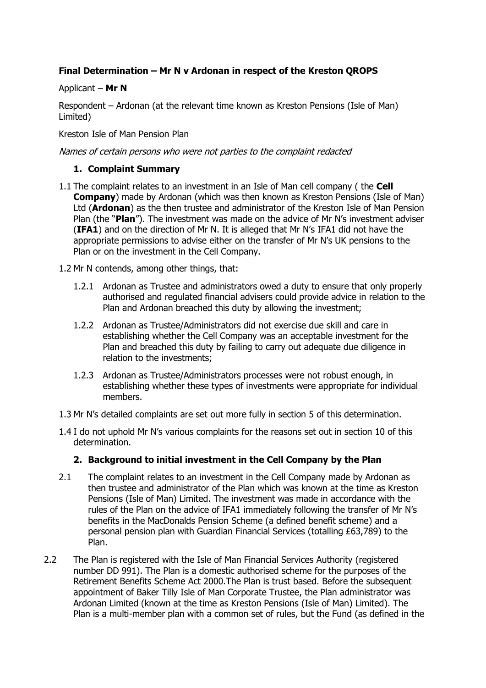# **Final Determination – Mr N v Ardonan in respect of the Kreston QROPS**

# Applicant – **Mr N**

Respondent – Ardonan (at the relevant time known as Kreston Pensions (Isle of Man) Limited)

Kreston Isle of Man Pension Plan

# Names of certain persons who were not parties to the complaint redacted

# **1. Complaint Summary**

- 1.1 The complaint relates to an investment in an Isle of Man cell company ( the **Cell Company**) made by Ardonan (which was then known as Kreston Pensions (Isle of Man) Ltd (**Ardonan**) as the then trustee and administrator of the Kreston Isle of Man Pension Plan (the "**Plan**"). The investment was made on the advice of Mr N's investment adviser (**IFA1**) and on the direction of Mr N. It is alleged that Mr N's IFA1 did not have the appropriate permissions to advise either on the transfer of Mr N's UK pensions to the Plan or on the investment in the Cell Company.
- 1.2 Mr N contends, among other things, that:
	- 1.2.1 Ardonan as Trustee and administrators owed a duty to ensure that only properly authorised and regulated financial advisers could provide advice in relation to the Plan and Ardonan breached this duty by allowing the investment;
	- 1.2.2 Ardonan as Trustee/Administrators did not exercise due skill and care in establishing whether the Cell Company was an acceptable investment for the Plan and breached this duty by failing to carry out adequate due diligence in relation to the investments;
	- 1.2.3 Ardonan as Trustee/Administrators processes were not robust enough, in establishing whether these types of investments were appropriate for individual members.
- 1.3 Mr N's detailed complaints are set out more fully in section 5 of this determination.
- 1.4 I do not uphold Mr N's various complaints for the reasons set out in section 10 of this determination.

# **2. Background to initial investment in the Cell Company by the Plan**

- 2.1 The complaint relates to an investment in the Cell Company made by Ardonan as then trustee and administrator of the Plan which was known at the time as Kreston Pensions (Isle of Man) Limited. The investment was made in accordance with the rules of the Plan on the advice of IFA1 immediately following the transfer of Mr N's benefits in the MacDonalds Pension Scheme (a defined benefit scheme) and a personal pension plan with Guardian Financial Services (totalling £63,789) to the Plan.
- 2.2 The Plan is registered with the Isle of Man Financial Services Authority (registered number DD 991). The Plan is a domestic authorised scheme for the purposes of the Retirement Benefits Scheme Act 2000.The Plan is trust based. Before the subsequent appointment of Baker Tilly Isle of Man Corporate Trustee, the Plan administrator was Ardonan Limited (known at the time as Kreston Pensions (Isle of Man) Limited). The Plan is a multi-member plan with a common set of rules, but the Fund (as defined in the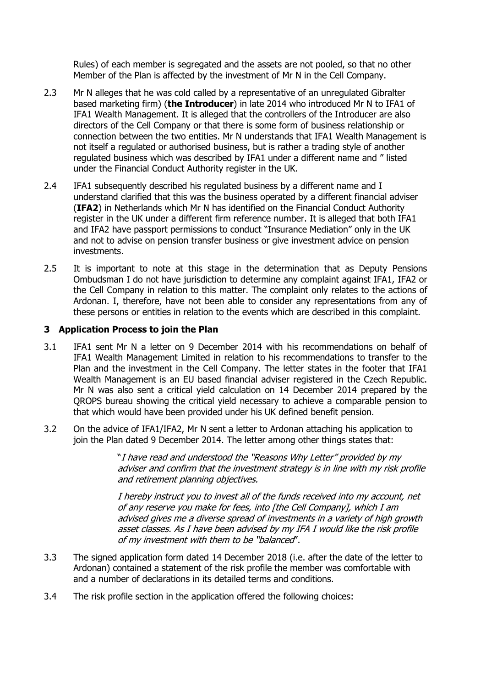Rules) of each member is segregated and the assets are not pooled, so that no other Member of the Plan is affected by the investment of Mr N in the Cell Company.

- 2.3 Mr N alleges that he was cold called by a representative of an unregulated Gibralter based marketing firm) (**the Introducer**) in late 2014 who introduced Mr N to IFA1 of IFA1 Wealth Management. It is alleged that the controllers of the Introducer are also directors of the Cell Company or that there is some form of business relationship or connection between the two entities. Mr N understands that IFA1 Wealth Management is not itself a regulated or authorised business, but is rather a trading style of another regulated business which was described by IFA1 under a different name and " listed under the Financial Conduct Authority register in the UK.
- 2.4 IFA1 subsequently described his regulated business by a different name and I understand clarified that this was the business operated by a different financial adviser (**IFA2**) in Netherlands which Mr N has identified on the Financial Conduct Authority register in the UK under a different firm reference number. It is alleged that both IFA1 and IFA2 have passport permissions to conduct "Insurance Mediation" only in the UK and not to advise on pension transfer business or give investment advice on pension investments.
- 2.5 It is important to note at this stage in the determination that as Deputy Pensions Ombudsman I do not have jurisdiction to determine any complaint against IFA1, IFA2 or the Cell Company in relation to this matter. The complaint only relates to the actions of Ardonan. I, therefore, have not been able to consider any representations from any of these persons or entities in relation to the events which are described in this complaint.

### **3 Application Process to join the Plan**

- 3.1 IFA1 sent Mr N a letter on 9 December 2014 with his recommendations on behalf of IFA1 Wealth Management Limited in relation to his recommendations to transfer to the Plan and the investment in the Cell Company. The letter states in the footer that IFA1 Wealth Management is an EU based financial adviser registered in the Czech Republic. Mr N was also sent a critical yield calculation on 14 December 2014 prepared by the QROPS bureau showing the critical yield necessary to achieve a comparable pension to that which would have been provided under his UK defined benefit pension.
- 3.2 On the advice of IFA1/IFA2, Mr N sent a letter to Ardonan attaching his application to join the Plan dated 9 December 2014. The letter among other things states that:

"I have read and understood the "Reasons Why Letter" provided by my adviser and confirm that the investment strategy is in line with my risk profile and retirement planning objectives.

I hereby instruct you to invest all of the funds received into my account, net of any reserve you make for fees, into [the Cell Company], which I am advised gives me a diverse spread of investments in a variety of high growth asset classes. As I have been advised by my IFA I would like the risk profile of my investment with them to be "balanced".

- 3.3 The signed application form dated 14 December 2018 (i.e. after the date of the letter to Ardonan) contained a statement of the risk profile the member was comfortable with and a number of declarations in its detailed terms and conditions.
- 3.4 The risk profile section in the application offered the following choices: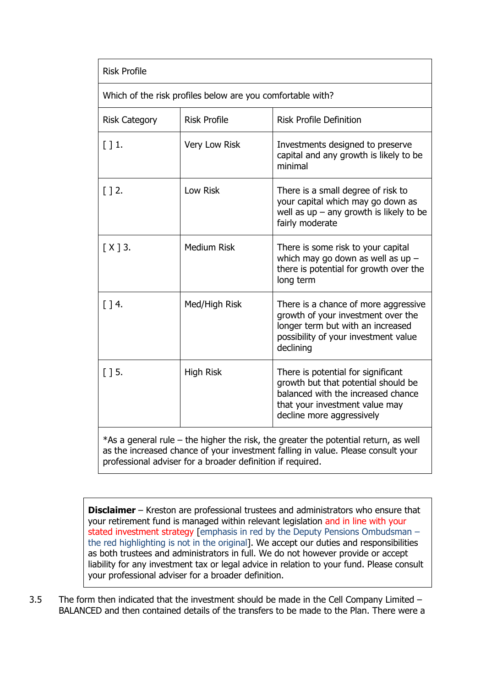| <b>Risk Profile</b>                                                                                                    |                     |                                                                                                                                                                                |
|------------------------------------------------------------------------------------------------------------------------|---------------------|--------------------------------------------------------------------------------------------------------------------------------------------------------------------------------|
| Which of the risk profiles below are you comfortable with?                                                             |                     |                                                                                                                                                                                |
| <b>Risk Category</b>                                                                                                   | <b>Risk Profile</b> | <b>Risk Profile Definition</b>                                                                                                                                                 |
| $\lceil$ 1.                                                                                                            | Very Low Risk       | Investments designed to preserve<br>capital and any growth is likely to be<br>minimal                                                                                          |
| $\lceil$ 12.                                                                                                           | Low Risk            | There is a small degree of risk to<br>your capital which may go down as<br>well as $up - any growth$ is likely to be<br>fairly moderate                                        |
| $[X]$ 3.                                                                                                               | <b>Medium Risk</b>  | There is some risk to your capital<br>which may go down as well as up $-$<br>there is potential for growth over the<br>long term                                               |
| $\lceil$ 14.                                                                                                           | Med/High Risk       | There is a chance of more aggressive<br>growth of your investment over the<br>longer term but with an increased<br>possibility of your investment value<br>declining           |
| $\lceil$ 15.                                                                                                           | <b>High Risk</b>    | There is potential for significant<br>growth but that potential should be<br>balanced with the increased chance<br>that your investment value may<br>decline more aggressively |
| $*A \cap \neg \neg \neg \neg \neg \neg \neg \neg \neg$<br>the bigher the rick the greater the petertial return as well |                     |                                                                                                                                                                                |

 $*$ As a general rule – the higher the risk, the greater the potential return, as well as the increased chance of your investment falling in value. Please consult your professional adviser for a broader definition if required.

**Disclaimer** – Kreston are professional trustees and administrators who ensure that your retirement fund is managed within relevant legislation and in line with your stated investment strategy [emphasis in red by the Deputy Pensions Ombudsman – the red highlighting is not in the original]. We accept our duties and responsibilities as both trustees and administrators in full. We do not however provide or accept liability for any investment tax or legal advice in relation to your fund. Please consult your professional adviser for a broader definition.

3.5 The form then indicated that the investment should be made in the Cell Company Limited – BALANCED and then contained details of the transfers to be made to the Plan. There were a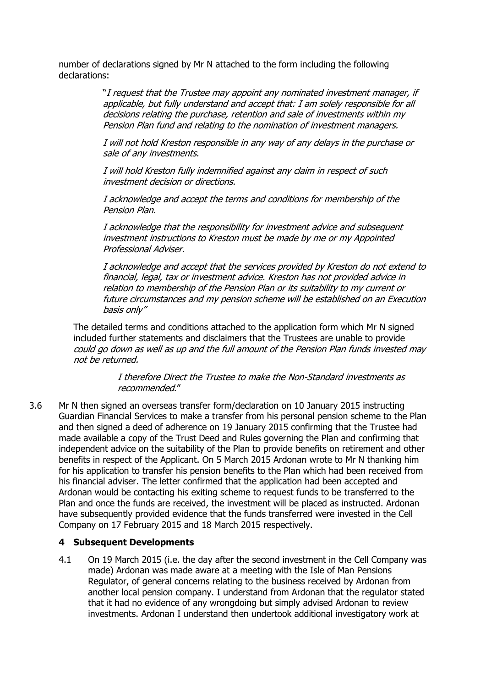number of declarations signed by Mr N attached to the form including the following declarations:

> "I request that the Trustee may appoint any nominated investment manager, if applicable, but fully understand and accept that: I am solely responsible for all decisions relating the purchase, retention and sale of investments within my Pension Plan fund and relating to the nomination of investment managers.

I will not hold Kreston responsible in any way of any delays in the purchase or sale of any investments.

I will hold Kreston fully indemnified against any claim in respect of such investment decision or directions.

I acknowledge and accept the terms and conditions for membership of the Pension Plan.

I acknowledge that the responsibility for investment advice and subsequent investment instructions to Kreston must be made by me or my Appointed Professional Adviser.

I acknowledge and accept that the services provided by Kreston do not extend to financial, legal, tax or investment advice. Kreston has not provided advice in relation to membership of the Pension Plan or its suitability to my current or future circumstances and my pension scheme will be established on an Execution basis only"

The detailed terms and conditions attached to the application form which Mr N signed included further statements and disclaimers that the Trustees are unable to provide could go down as well as up and the full amount of the Pension Plan funds invested may not be returned.

> I therefore Direct the Trustee to make the Non-Standard investments as recommended."

3.6 Mr N then signed an overseas transfer form/declaration on 10 January 2015 instructing Guardian Financial Services to make a transfer from his personal pension scheme to the Plan and then signed a deed of adherence on 19 January 2015 confirming that the Trustee had made available a copy of the Trust Deed and Rules governing the Plan and confirming that independent advice on the suitability of the Plan to provide benefits on retirement and other benefits in respect of the Applicant. On 5 March 2015 Ardonan wrote to Mr N thanking him for his application to transfer his pension benefits to the Plan which had been received from his financial adviser. The letter confirmed that the application had been accepted and Ardonan would be contacting his exiting scheme to request funds to be transferred to the Plan and once the funds are received, the investment will be placed as instructed. Ardonan have subsequently provided evidence that the funds transferred were invested in the Cell Company on 17 February 2015 and 18 March 2015 respectively.

### **4 Subsequent Developments**

4.1 On 19 March 2015 (i.e. the day after the second investment in the Cell Company was made) Ardonan was made aware at a meeting with the Isle of Man Pensions Regulator, of general concerns relating to the business received by Ardonan from another local pension company. I understand from Ardonan that the regulator stated that it had no evidence of any wrongdoing but simply advised Ardonan to review investments. Ardonan I understand then undertook additional investigatory work at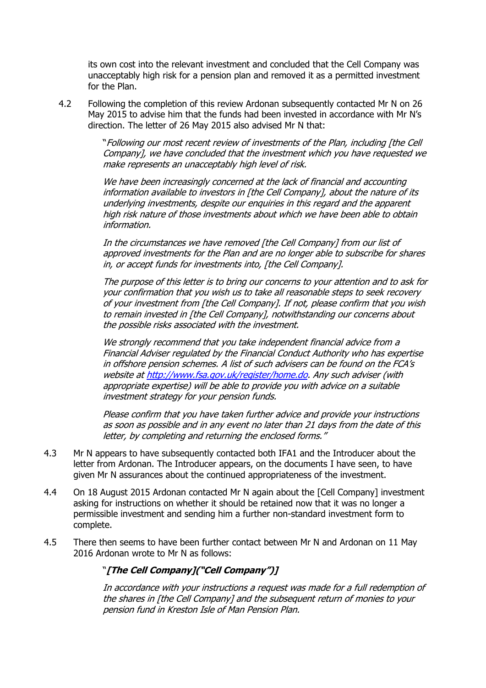its own cost into the relevant investment and concluded that the Cell Company was unacceptably high risk for a pension plan and removed it as a permitted investment for the Plan.

4.2 Following the completion of this review Ardonan subsequently contacted Mr N on 26 May 2015 to advise him that the funds had been invested in accordance with Mr N's direction. The letter of 26 May 2015 also advised Mr N that:

> "Following our most recent review of investments of the Plan, including [the Cell Company], we have concluded that the investment which you have requested we make represents an unacceptably high level of risk.

We have been increasingly concerned at the lack of financial and accounting information available to investors in [the Cell Company], about the nature of its underlying investments, despite our enquiries in this regard and the apparent high risk nature of those investments about which we have been able to obtain information.

In the circumstances we have removed [the Cell Company] from our list of approved investments for the Plan and are no longer able to subscribe for shares in, or accept funds for investments into, [the Cell Company].

The purpose of this letter is to bring our concerns to your attention and to ask for your confirmation that you wish us to take all reasonable steps to seek recovery of your investment from [the Cell Company]. If not, please confirm that you wish to remain invested in [the Cell Company], notwithstanding our concerns about the possible risks associated with the investment.

We strongly recommend that you take independent financial advice from a Financial Adviser regulated by the Financial Conduct Authority who has expertise in offshore pension schemes. A list of such advisers can be found on the FCA's website a[t http://www.fsa.gov.uk/register/home.do.](http://www.fsa.gov.uk/register/home.do) Any such adviser (with appropriate expertise) will be able to provide you with advice on a suitable investment strategy for your pension funds.

Please confirm that you have taken further advice and provide your instructions as soon as possible and in any event no later than 21 days from the date of this letter, by completing and returning the enclosed forms."

- 4.3 Mr N appears to have subsequently contacted both IFA1 and the Introducer about the letter from Ardonan. The Introducer appears, on the documents I have seen, to have given Mr N assurances about the continued appropriateness of the investment.
- 4.4 On 18 August 2015 Ardonan contacted Mr N again about the [Cell Company] investment asking for instructions on whether it should be retained now that it was no longer a permissible investment and sending him a further non-standard investment form to complete.
- 4.5 There then seems to have been further contact between Mr N and Ardonan on 11 May 2016 Ardonan wrote to Mr N as follows:

# "**[The Cell Company]("Cell Company")]**

In accordance with your instructions a request was made for a full redemption of the shares in [the Cell Company] and the subsequent return of monies to your pension fund in Kreston Isle of Man Pension Plan.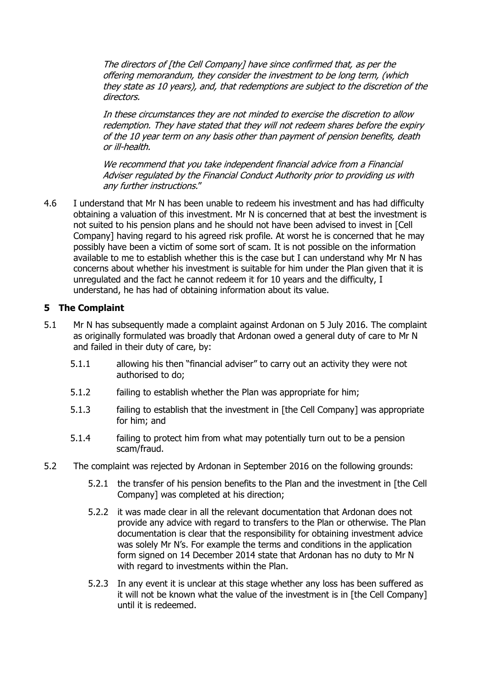The directors of [the Cell Company] have since confirmed that, as per the offering memorandum, they consider the investment to be long term, (which they state as 10 years), and, that redemptions are subject to the discretion of the directors.

In these circumstances they are not minded to exercise the discretion to allow redemption. They have stated that they will not redeem shares before the expiry of the 10 year term on any basis other than payment of pension benefits, death or ill-health.

We recommend that you take independent financial advice from a Financial Adviser regulated by the Financial Conduct Authority prior to providing us with any further instructions."

4.6 I understand that Mr N has been unable to redeem his investment and has had difficulty obtaining a valuation of this investment. Mr N is concerned that at best the investment is not suited to his pension plans and he should not have been advised to invest in [Cell Company] having regard to his agreed risk profile. At worst he is concerned that he may possibly have been a victim of some sort of scam. It is not possible on the information available to me to establish whether this is the case but I can understand why Mr N has concerns about whether his investment is suitable for him under the Plan given that it is unregulated and the fact he cannot redeem it for 10 years and the difficulty, I understand, he has had of obtaining information about its value.

### **5 The Complaint**

- 5.1 Mr N has subsequently made a complaint against Ardonan on 5 July 2016. The complaint as originally formulated was broadly that Ardonan owed a general duty of care to Mr N and failed in their duty of care, by:
	- 5.1.1 allowing his then "financial adviser" to carry out an activity they were not authorised to do;
	- 5.1.2 failing to establish whether the Plan was appropriate for him;
	- 5.1.3 failing to establish that the investment in [the Cell Company] was appropriate for him; and
	- 5.1.4 failing to protect him from what may potentially turn out to be a pension scam/fraud.
- 5.2 The complaint was rejected by Ardonan in September 2016 on the following grounds:
	- 5.2.1 the transfer of his pension benefits to the Plan and the investment in [the Cell Company] was completed at his direction;
	- 5.2.2 it was made clear in all the relevant documentation that Ardonan does not provide any advice with regard to transfers to the Plan or otherwise. The Plan documentation is clear that the responsibility for obtaining investment advice was solely Mr N's. For example the terms and conditions in the application form signed on 14 December 2014 state that Ardonan has no duty to Mr N with regard to investments within the Plan.
	- 5.2.3 In any event it is unclear at this stage whether any loss has been suffered as it will not be known what the value of the investment is in [the Cell Company] until it is redeemed.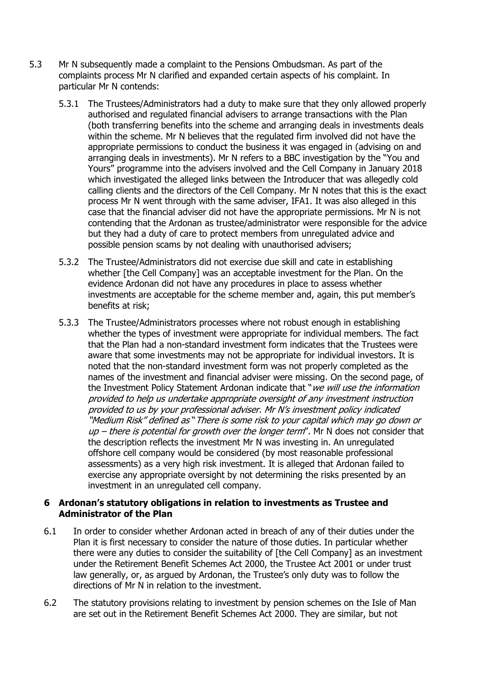- 5.3 Mr N subsequently made a complaint to the Pensions Ombudsman. As part of the complaints process Mr N clarified and expanded certain aspects of his complaint. In particular Mr N contends:
	- 5.3.1 The Trustees/Administrators had a duty to make sure that they only allowed properly authorised and regulated financial advisers to arrange transactions with the Plan (both transferring benefits into the scheme and arranging deals in investments deals within the scheme. Mr N believes that the regulated firm involved did not have the appropriate permissions to conduct the business it was engaged in (advising on and arranging deals in investments). Mr N refers to a BBC investigation by the "You and Yours" programme into the advisers involved and the Cell Company in January 2018 which investigated the alleged links between the Introducer that was allegedly cold calling clients and the directors of the Cell Company. Mr N notes that this is the exact process Mr N went through with the same adviser, IFA1. It was also alleged in this case that the financial adviser did not have the appropriate permissions. Mr N is not contending that the Ardonan as trustee/administrator were responsible for the advice but they had a duty of care to protect members from unregulated advice and possible pension scams by not dealing with unauthorised advisers;
	- 5.3.2 The Trustee/Administrators did not exercise due skill and cate in establishing whether [the Cell Company] was an acceptable investment for the Plan. On the evidence Ardonan did not have any procedures in place to assess whether investments are acceptable for the scheme member and, again, this put member's benefits at risk;
	- 5.3.3 The Trustee/Administrators processes where not robust enough in establishing whether the types of investment were appropriate for individual members. The fact that the Plan had a non-standard investment form indicates that the Trustees were aware that some investments may not be appropriate for individual investors. It is noted that the non-standard investment form was not properly completed as the names of the investment and financial adviser were missing. On the second page, of the Investment Policy Statement Ardonan indicate that "*we will use the information* provided to help us undertake appropriate oversight of any investment instruction provided to us by your professional adviser. Mr N's investment policy indicated "Medium Risk" defined as "There is some risk to your capital which may go down or  $up$  – there is potential for growth over the longer term". Mr N does not consider that the description reflects the investment Mr N was investing in. An unregulated offshore cell company would be considered (by most reasonable professional assessments) as a very high risk investment. It is alleged that Ardonan failed to exercise any appropriate oversight by not determining the risks presented by an investment in an unregulated cell company.

### **6 Ardonan's statutory obligations in relation to investments as Trustee and Administrator of the Plan**

- 6.1 In order to consider whether Ardonan acted in breach of any of their duties under the Plan it is first necessary to consider the nature of those duties. In particular whether there were any duties to consider the suitability of [the Cell Company] as an investment under the Retirement Benefit Schemes Act 2000, the Trustee Act 2001 or under trust law generally, or, as argued by Ardonan, the Trustee's only duty was to follow the directions of Mr N in relation to the investment.
- 6.2 The statutory provisions relating to investment by pension schemes on the Isle of Man are set out in the Retirement Benefit Schemes Act 2000. They are similar, but not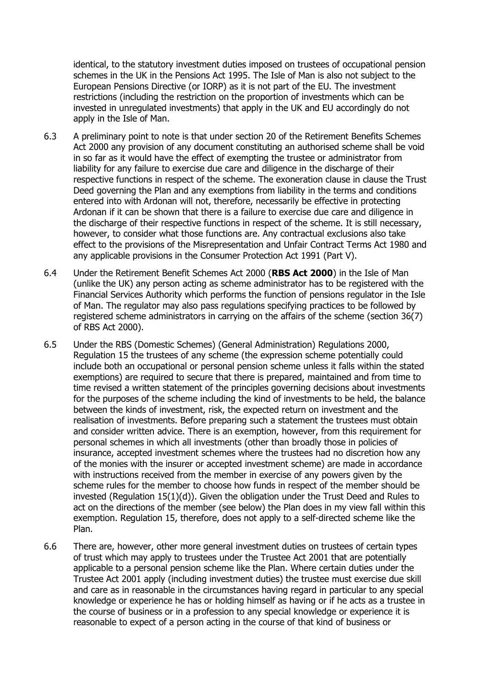identical, to the statutory investment duties imposed on trustees of occupational pension schemes in the UK in the Pensions Act 1995. The Isle of Man is also not subject to the European Pensions Directive (or IORP) as it is not part of the EU. The investment restrictions (including the restriction on the proportion of investments which can be invested in unregulated investments) that apply in the UK and EU accordingly do not apply in the Isle of Man.

- 6.3 A preliminary point to note is that under section 20 of the Retirement Benefits Schemes Act 2000 any provision of any document constituting an authorised scheme shall be void in so far as it would have the effect of exempting the trustee or administrator from liability for any failure to exercise due care and diligence in the discharge of their respective functions in respect of the scheme. The exoneration clause in clause the Trust Deed governing the Plan and any exemptions from liability in the terms and conditions entered into with Ardonan will not, therefore, necessarily be effective in protecting Ardonan if it can be shown that there is a failure to exercise due care and diligence in the discharge of their respective functions in respect of the scheme. It is still necessary, however, to consider what those functions are. Any contractual exclusions also take effect to the provisions of the Misrepresentation and Unfair Contract Terms Act 1980 and any applicable provisions in the Consumer Protection Act 1991 (Part V).
- 6.4 Under the Retirement Benefit Schemes Act 2000 (**RBS Act 2000**) in the Isle of Man (unlike the UK) any person acting as scheme administrator has to be registered with the Financial Services Authority which performs the function of pensions regulator in the Isle of Man. The regulator may also pass regulations specifying practices to be followed by registered scheme administrators in carrying on the affairs of the scheme (section 36(7) of RBS Act 2000).
- 6.5 Under the RBS (Domestic Schemes) (General Administration) Regulations 2000, Regulation 15 the trustees of any scheme (the expression scheme potentially could include both an occupational or personal pension scheme unless it falls within the stated exemptions) are required to secure that there is prepared, maintained and from time to time revised a written statement of the principles governing decisions about investments for the purposes of the scheme including the kind of investments to be held, the balance between the kinds of investment, risk, the expected return on investment and the realisation of investments. Before preparing such a statement the trustees must obtain and consider written advice. There is an exemption, however, from this requirement for personal schemes in which all investments (other than broadly those in policies of insurance, accepted investment schemes where the trustees had no discretion how any of the monies with the insurer or accepted investment scheme) are made in accordance with instructions received from the member in exercise of any powers given by the scheme rules for the member to choose how funds in respect of the member should be invested (Regulation 15(1)(d)). Given the obligation under the Trust Deed and Rules to act on the directions of the member (see below) the Plan does in my view fall within this exemption. Regulation 15, therefore, does not apply to a self-directed scheme like the Plan.
- 6.6 There are, however, other more general investment duties on trustees of certain types of trust which may apply to trustees under the Trustee Act 2001 that are potentially applicable to a personal pension scheme like the Plan. Where certain duties under the Trustee Act 2001 apply (including investment duties) the trustee must exercise due skill and care as in reasonable in the circumstances having regard in particular to any special knowledge or experience he has or holding himself as having or if he acts as a trustee in the course of business or in a profession to any special knowledge or experience it is reasonable to expect of a person acting in the course of that kind of business or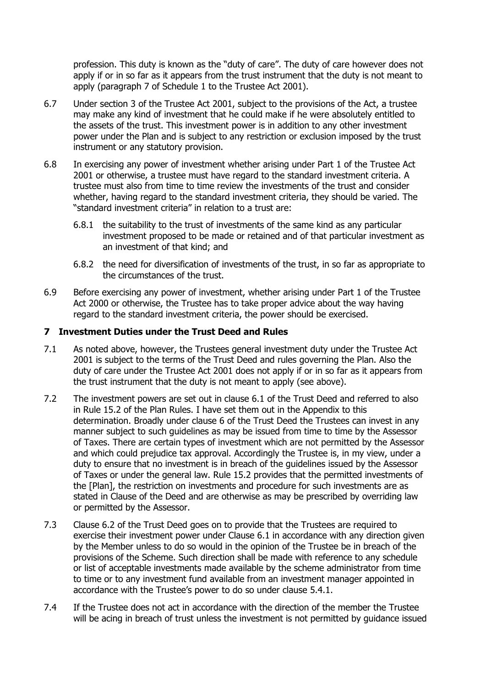profession. This duty is known as the "duty of care". The duty of care however does not apply if or in so far as it appears from the trust instrument that the duty is not meant to apply (paragraph 7 of Schedule 1 to the Trustee Act 2001).

- 6.7 Under section 3 of the Trustee Act 2001, subject to the provisions of the Act, a trustee may make any kind of investment that he could make if he were absolutely entitled to the assets of the trust. This investment power is in addition to any other investment power under the Plan and is subject to any restriction or exclusion imposed by the trust instrument or any statutory provision.
- 6.8 In exercising any power of investment whether arising under Part 1 of the Trustee Act 2001 or otherwise, a trustee must have regard to the standard investment criteria. A trustee must also from time to time review the investments of the trust and consider whether, having regard to the standard investment criteria, they should be varied. The "standard investment criteria" in relation to a trust are:
	- 6.8.1 the suitability to the trust of investments of the same kind as any particular investment proposed to be made or retained and of that particular investment as an investment of that kind; and
	- 6.8.2 the need for diversification of investments of the trust, in so far as appropriate to the circumstances of the trust.
- 6.9 Before exercising any power of investment, whether arising under Part 1 of the Trustee Act 2000 or otherwise, the Trustee has to take proper advice about the way having regard to the standard investment criteria, the power should be exercised.

### **7 Investment Duties under the Trust Deed and Rules**

- 7.1 As noted above, however, the Trustees general investment duty under the Trustee Act 2001 is subject to the terms of the Trust Deed and rules governing the Plan. Also the duty of care under the Trustee Act 2001 does not apply if or in so far as it appears from the trust instrument that the duty is not meant to apply (see above).
- 7.2 The investment powers are set out in clause 6.1 of the Trust Deed and referred to also in Rule 15.2 of the Plan Rules. I have set them out in the Appendix to this determination. Broadly under clause 6 of the Trust Deed the Trustees can invest in any manner subject to such guidelines as may be issued from time to time by the Assessor of Taxes. There are certain types of investment which are not permitted by the Assessor and which could prejudice tax approval. Accordingly the Trustee is, in my view, under a duty to ensure that no investment is in breach of the guidelines issued by the Assessor of Taxes or under the general law. Rule 15.2 provides that the permitted investments of the [Plan], the restriction on investments and procedure for such investments are as stated in Clause of the Deed and are otherwise as may be prescribed by overriding law or permitted by the Assessor.
- 7.3 Clause 6.2 of the Trust Deed goes on to provide that the Trustees are required to exercise their investment power under Clause 6.1 in accordance with any direction given by the Member unless to do so would in the opinion of the Trustee be in breach of the provisions of the Scheme. Such direction shall be made with reference to any schedule or list of acceptable investments made available by the scheme administrator from time to time or to any investment fund available from an investment manager appointed in accordance with the Trustee's power to do so under clause 5.4.1.
- 7.4 If the Trustee does not act in accordance with the direction of the member the Trustee will be acing in breach of trust unless the investment is not permitted by guidance issued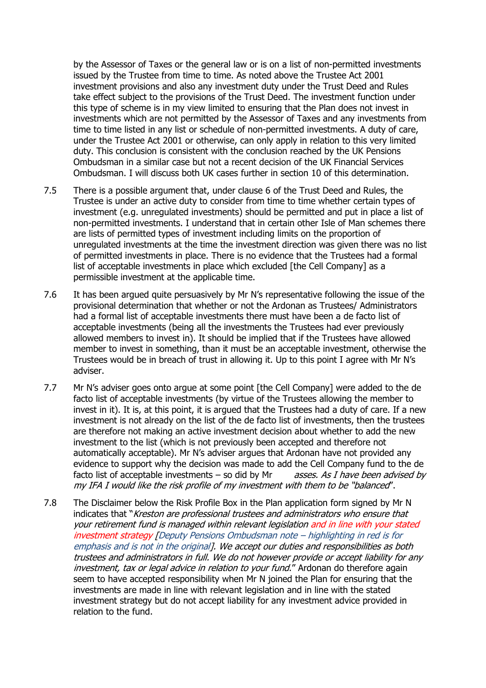by the Assessor of Taxes or the general law or is on a list of non-permitted investments issued by the Trustee from time to time. As noted above the Trustee Act 2001 investment provisions and also any investment duty under the Trust Deed and Rules take effect subject to the provisions of the Trust Deed. The investment function under this type of scheme is in my view limited to ensuring that the Plan does not invest in investments which are not permitted by the Assessor of Taxes and any investments from time to time listed in any list or schedule of non-permitted investments. A duty of care, under the Trustee Act 2001 or otherwise, can only apply in relation to this very limited duty. This conclusion is consistent with the conclusion reached by the UK Pensions Ombudsman in a similar case but not a recent decision of the UK Financial Services Ombudsman. I will discuss both UK cases further in section 10 of this determination.

- 7.5 There is a possible argument that, under clause 6 of the Trust Deed and Rules, the Trustee is under an active duty to consider from time to time whether certain types of investment (e.g. unregulated investments) should be permitted and put in place a list of non-permitted investments. I understand that in certain other Isle of Man schemes there are lists of permitted types of investment including limits on the proportion of unregulated investments at the time the investment direction was given there was no list of permitted investments in place. There is no evidence that the Trustees had a formal list of acceptable investments in place which excluded [the Cell Company] as a permissible investment at the applicable time.
- 7.6 It has been argued quite persuasively by Mr N's representative following the issue of the provisional determination that whether or not the Ardonan as Trustees/ Administrators had a formal list of acceptable investments there must have been a de facto list of acceptable investments (being all the investments the Trustees had ever previously allowed members to invest in). It should be implied that if the Trustees have allowed member to invest in something, than it must be an acceptable investment, otherwise the Trustees would be in breach of trust in allowing it. Up to this point I agree with Mr N's adviser.
- 7.7 Mr N's adviser goes onto argue at some point [the Cell Company] were added to the de facto list of acceptable investments (by virtue of the Trustees allowing the member to invest in it). It is, at this point, it is argued that the Trustees had a duty of care. If a new investment is not already on the list of the de facto list of investments, then the trustees are therefore not making an active investment decision about whether to add the new investment to the list (which is not previously been accepted and therefore not automatically acceptable). Mr N's adviser argues that Ardonan have not provided any evidence to support why the decision was made to add the Cell Company fund to the de facto list of acceptable investments – so did by Mr asses. As I have been advised by my IFA I would like the risk profile of my investment with them to be "balanced".
- 7.8 The Disclaimer below the Risk Profile Box in the Plan application form signed by Mr N indicates that "Kreston are professional trustees and administrators who ensure that your retirement fund is managed within relevant legislation and in line with your stated investment strategy [Deputy Pensions Ombudsman note – highlighting in red is for emphasis and is not in the original]. We accept our duties and responsibilities as both trustees and administrators in full. We do not however provide or accept liability for any investment, tax or legal advice in relation to your fund." Ardonan do therefore again seem to have accepted responsibility when Mr N joined the Plan for ensuring that the investments are made in line with relevant legislation and in line with the stated investment strategy but do not accept liability for any investment advice provided in relation to the fund.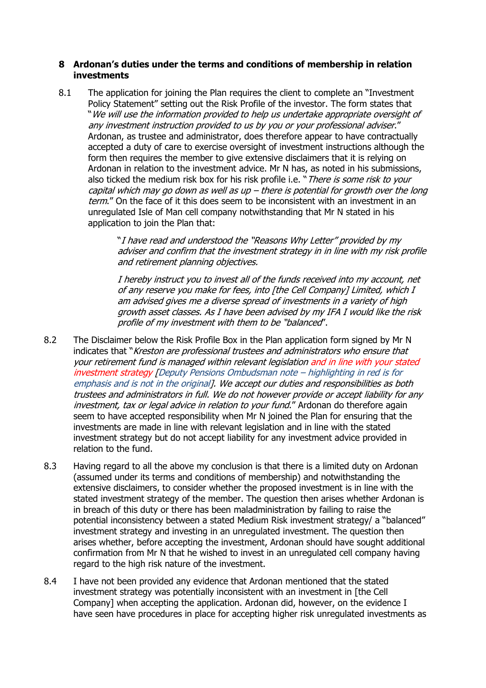### **8 Ardonan's duties under the terms and conditions of membership in relation investments**

8.1 The application for joining the Plan requires the client to complete an "Investment Policy Statement" setting out the Risk Profile of the investor. The form states that "We will use the information provided to help us undertake appropriate oversight of any investment instruction provided to us by you or your professional adviser." Ardonan, as trustee and administrator, does therefore appear to have contractually accepted a duty of care to exercise oversight of investment instructions although the form then requires the member to give extensive disclaimers that it is relying on Ardonan in relation to the investment advice. Mr N has, as noted in his submissions, also ticked the medium risk box for his risk profile i.e. "There is some risk to your capital which may go down as well as up – there is potential for growth over the long term." On the face of it this does seem to be inconsistent with an investment in an unregulated Isle of Man cell company notwithstanding that Mr N stated in his application to join the Plan that:

> "I have read and understood the "Reasons Why Letter" provided by my adviser and confirm that the investment strategy in in line with my risk profile and retirement planning objectives.

I hereby instruct you to invest all of the funds received into my account, net of any reserve you make for fees, into [the Cell Company] Limited, which I am advised gives me a diverse spread of investments in a variety of high growth asset classes. As I have been advised by my IFA I would like the risk profile of my investment with them to be "balanced".

- 8.2 The Disclaimer below the Risk Profile Box in the Plan application form signed by Mr N indicates that "Kreston are professional trustees and administrators who ensure that your retirement fund is managed within relevant legislation and in line with your stated investment strategy [Deputy Pensions Ombudsman note – highlighting in red is for emphasis and is not in the original]. We accept our duties and responsibilities as both trustees and administrators in full. We do not however provide or accept liability for any investment, tax or legal advice in relation to your fund." Ardonan do therefore again seem to have accepted responsibility when Mr N joined the Plan for ensuring that the investments are made in line with relevant legislation and in line with the stated investment strategy but do not accept liability for any investment advice provided in relation to the fund.
- 8.3 Having regard to all the above my conclusion is that there is a limited duty on Ardonan (assumed under its terms and conditions of membership) and notwithstanding the extensive disclaimers, to consider whether the proposed investment is in line with the stated investment strategy of the member. The question then arises whether Ardonan is in breach of this duty or there has been maladministration by failing to raise the potential inconsistency between a stated Medium Risk investment strategy/ a "balanced" investment strategy and investing in an unregulated investment. The question then arises whether, before accepting the investment, Ardonan should have sought additional confirmation from Mr N that he wished to invest in an unregulated cell company having regard to the high risk nature of the investment.
- 8.4 I have not been provided any evidence that Ardonan mentioned that the stated investment strategy was potentially inconsistent with an investment in [the Cell Company] when accepting the application. Ardonan did, however, on the evidence I have seen have procedures in place for accepting higher risk unregulated investments as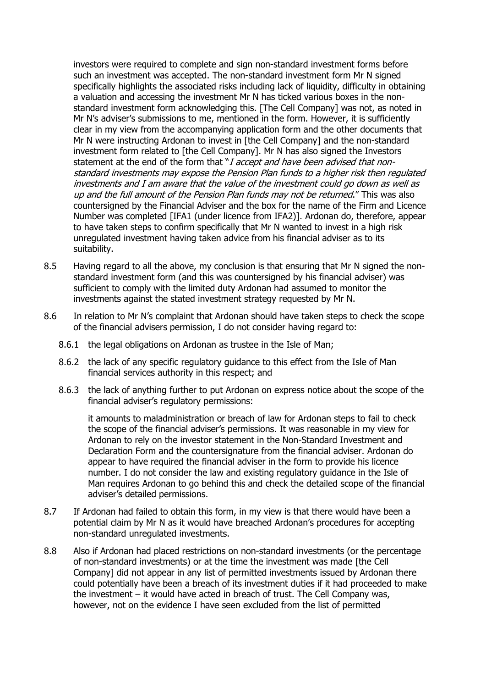investors were required to complete and sign non-standard investment forms before such an investment was accepted. The non-standard investment form Mr N signed specifically highlights the associated risks including lack of liquidity, difficulty in obtaining a valuation and accessing the investment Mr N has ticked various boxes in the nonstandard investment form acknowledging this. [The Cell Company] was not, as noted in Mr N's adviser's submissions to me, mentioned in the form. However, it is sufficiently clear in my view from the accompanying application form and the other documents that Mr N were instructing Ardonan to invest in [the Cell Company] and the non-standard investment form related to [the Cell Company]. Mr N has also signed the Investors statement at the end of the form that "I accept and have been advised that nonstandard investments may expose the Pension Plan funds to a higher risk then regulated investments and I am aware that the value of the investment could go down as well as up and the full amount of the Pension Plan funds may not be returned." This was also countersigned by the Financial Adviser and the box for the name of the Firm and Licence Number was completed [IFA1 (under licence from IFA2)]. Ardonan do, therefore, appear to have taken steps to confirm specifically that Mr N wanted to invest in a high risk unregulated investment having taken advice from his financial adviser as to its suitability.

- 8.5 Having regard to all the above, my conclusion is that ensuring that Mr N signed the nonstandard investment form (and this was countersigned by his financial adviser) was sufficient to comply with the limited duty Ardonan had assumed to monitor the investments against the stated investment strategy requested by Mr N.
- 8.6 In relation to Mr N's complaint that Ardonan should have taken steps to check the scope of the financial advisers permission, I do not consider having regard to:
	- 8.6.1 the legal obligations on Ardonan as trustee in the Isle of Man;
	- 8.6.2 the lack of any specific regulatory guidance to this effect from the Isle of Man financial services authority in this respect; and
	- 8.6.3 the lack of anything further to put Ardonan on express notice about the scope of the financial adviser's regulatory permissions:

it amounts to maladministration or breach of law for Ardonan steps to fail to check the scope of the financial adviser's permissions. It was reasonable in my view for Ardonan to rely on the investor statement in the Non-Standard Investment and Declaration Form and the countersignature from the financial adviser. Ardonan do appear to have required the financial adviser in the form to provide his licence number. I do not consider the law and existing regulatory guidance in the Isle of Man requires Ardonan to go behind this and check the detailed scope of the financial adviser's detailed permissions.

- 8.7 If Ardonan had failed to obtain this form, in my view is that there would have been a potential claim by Mr N as it would have breached Ardonan's procedures for accepting non-standard unregulated investments.
- 8.8 Also if Ardonan had placed restrictions on non-standard investments (or the percentage of non-standard investments) or at the time the investment was made [the Cell Company] did not appear in any list of permitted investments issued by Ardonan there could potentially have been a breach of its investment duties if it had proceeded to make the investment – it would have acted in breach of trust. The Cell Company was, however, not on the evidence I have seen excluded from the list of permitted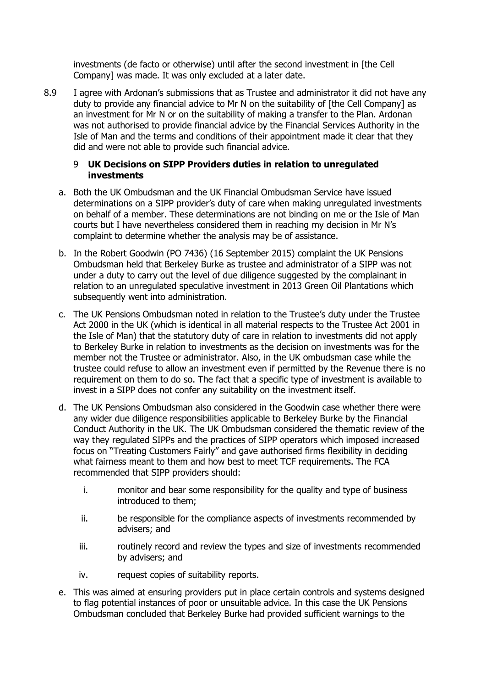investments (de facto or otherwise) until after the second investment in [the Cell Company] was made. It was only excluded at a later date.

8.9 I agree with Ardonan's submissions that as Trustee and administrator it did not have any duty to provide any financial advice to Mr N on the suitability of [the Cell Company] as an investment for Mr N or on the suitability of making a transfer to the Plan. Ardonan was not authorised to provide financial advice by the Financial Services Authority in the Isle of Man and the terms and conditions of their appointment made it clear that they did and were not able to provide such financial advice.

### 9 **UK Decisions on SIPP Providers duties in relation to unregulated investments**

- a. Both the UK Ombudsman and the UK Financial Ombudsman Service have issued determinations on a SIPP provider's duty of care when making unregulated investments on behalf of a member. These determinations are not binding on me or the Isle of Man courts but I have nevertheless considered them in reaching my decision in Mr N's complaint to determine whether the analysis may be of assistance.
- b. In the Robert Goodwin (PO 7436) (16 September 2015) complaint the UK Pensions Ombudsman held that Berkeley Burke as trustee and administrator of a SIPP was not under a duty to carry out the level of due diligence suggested by the complainant in relation to an unregulated speculative investment in 2013 Green Oil Plantations which subsequently went into administration.
- c. The UK Pensions Ombudsman noted in relation to the Trustee's duty under the Trustee Act 2000 in the UK (which is identical in all material respects to the Trustee Act 2001 in the Isle of Man) that the statutory duty of care in relation to investments did not apply to Berkeley Burke in relation to investments as the decision on investments was for the member not the Trustee or administrator. Also, in the UK ombudsman case while the trustee could refuse to allow an investment even if permitted by the Revenue there is no requirement on them to do so. The fact that a specific type of investment is available to invest in a SIPP does not confer any suitability on the investment itself.
- d. The UK Pensions Ombudsman also considered in the Goodwin case whether there were any wider due diligence responsibilities applicable to Berkeley Burke by the Financial Conduct Authority in the UK. The UK Ombudsman considered the thematic review of the way they regulated SIPPs and the practices of SIPP operators which imposed increased focus on "Treating Customers Fairly" and gave authorised firms flexibility in deciding what fairness meant to them and how best to meet TCF requirements. The FCA recommended that SIPP providers should:
	- i. monitor and bear some responsibility for the quality and type of business introduced to them;
	- ii. be responsible for the compliance aspects of investments recommended by advisers; and
	- iii. routinely record and review the types and size of investments recommended by advisers; and
	- iv. request copies of suitability reports.
- e. This was aimed at ensuring providers put in place certain controls and systems designed to flag potential instances of poor or unsuitable advice. In this case the UK Pensions Ombudsman concluded that Berkeley Burke had provided sufficient warnings to the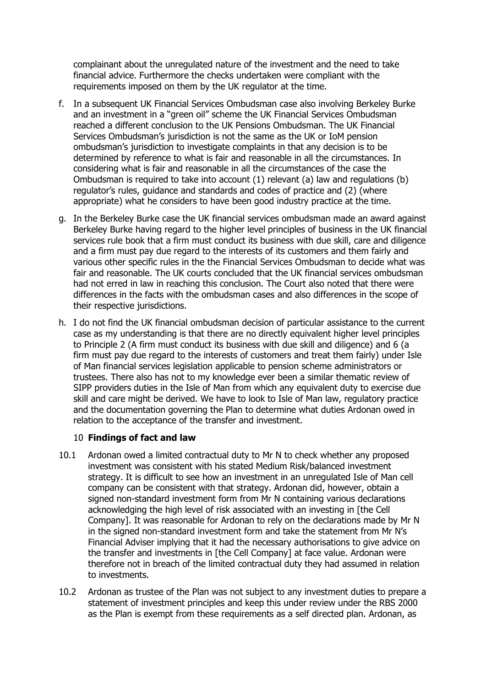complainant about the unregulated nature of the investment and the need to take financial advice. Furthermore the checks undertaken were compliant with the requirements imposed on them by the UK regulator at the time.

- f. In a subsequent UK Financial Services Ombudsman case also involving Berkeley Burke and an investment in a "green oil" scheme the UK Financial Services Ombudsman reached a different conclusion to the UK Pensions Ombudsman. The UK Financial Services Ombudsman's jurisdiction is not the same as the UK or IoM pension ombudsman's jurisdiction to investigate complaints in that any decision is to be determined by reference to what is fair and reasonable in all the circumstances. In considering what is fair and reasonable in all the circumstances of the case the Ombudsman is required to take into account (1) relevant (a) law and regulations (b) regulator's rules, guidance and standards and codes of practice and (2) (where appropriate) what he considers to have been good industry practice at the time.
- g. In the Berkeley Burke case the UK financial services ombudsman made an award against Berkeley Burke having regard to the higher level principles of business in the UK financial services rule book that a firm must conduct its business with due skill, care and diligence and a firm must pay due regard to the interests of its customers and them fairly and various other specific rules in the the Financial Services Ombudsman to decide what was fair and reasonable. The UK courts concluded that the UK financial services ombudsman had not erred in law in reaching this conclusion. The Court also noted that there were differences in the facts with the ombudsman cases and also differences in the scope of their respective jurisdictions.
- h. I do not find the UK financial ombudsman decision of particular assistance to the current case as my understanding is that there are no directly equivalent higher level principles to Principle 2 (A firm must conduct its business with due skill and diligence) and 6 (a firm must pay due regard to the interests of customers and treat them fairly) under Isle of Man financial services legislation applicable to pension scheme administrators or trustees. There also has not to my knowledge ever been a similar thematic review of SIPP providers duties in the Isle of Man from which any equivalent duty to exercise due skill and care might be derived. We have to look to Isle of Man law, regulatory practice and the documentation governing the Plan to determine what duties Ardonan owed in relation to the acceptance of the transfer and investment.

# 10 **Findings of fact and law**

- 10.1 Ardonan owed a limited contractual duty to Mr N to check whether any proposed investment was consistent with his stated Medium Risk/balanced investment strategy. It is difficult to see how an investment in an unregulated Isle of Man cell company can be consistent with that strategy. Ardonan did, however, obtain a signed non-standard investment form from Mr N containing various declarations acknowledging the high level of risk associated with an investing in [the Cell Company]. It was reasonable for Ardonan to rely on the declarations made by Mr N in the signed non-standard investment form and take the statement from Mr N's Financial Adviser implying that it had the necessary authorisations to give advice on the transfer and investments in [the Cell Company] at face value. Ardonan were therefore not in breach of the limited contractual duty they had assumed in relation to investments.
- 10.2 Ardonan as trustee of the Plan was not subject to any investment duties to prepare a statement of investment principles and keep this under review under the RBS 2000 as the Plan is exempt from these requirements as a self directed plan. Ardonan, as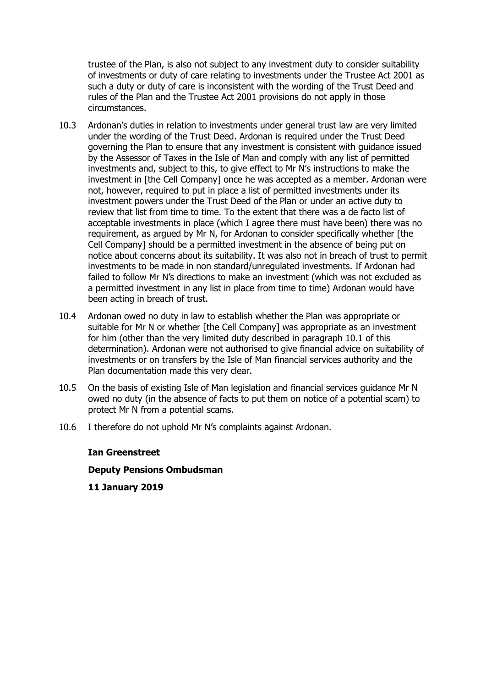trustee of the Plan, is also not subject to any investment duty to consider suitability of investments or duty of care relating to investments under the Trustee Act 2001 as such a duty or duty of care is inconsistent with the wording of the Trust Deed and rules of the Plan and the Trustee Act 2001 provisions do not apply in those circumstances.

- 10.3 Ardonan's duties in relation to investments under general trust law are very limited under the wording of the Trust Deed. Ardonan is required under the Trust Deed governing the Plan to ensure that any investment is consistent with guidance issued by the Assessor of Taxes in the Isle of Man and comply with any list of permitted investments and, subject to this, to give effect to Mr N's instructions to make the investment in [the Cell Company] once he was accepted as a member. Ardonan were not, however, required to put in place a list of permitted investments under its investment powers under the Trust Deed of the Plan or under an active duty to review that list from time to time. To the extent that there was a de facto list of acceptable investments in place (which I agree there must have been) there was no requirement, as argued by Mr N, for Ardonan to consider specifically whether [the Cell Company] should be a permitted investment in the absence of being put on notice about concerns about its suitability. It was also not in breach of trust to permit investments to be made in non standard/unregulated investments. If Ardonan had failed to follow Mr N's directions to make an investment (which was not excluded as a permitted investment in any list in place from time to time) Ardonan would have been acting in breach of trust.
- 10.4 Ardonan owed no duty in law to establish whether the Plan was appropriate or suitable for Mr N or whether [the Cell Company] was appropriate as an investment for him (other than the very limited duty described in paragraph 10.1 of this determination). Ardonan were not authorised to give financial advice on suitability of investments or on transfers by the Isle of Man financial services authority and the Plan documentation made this very clear.
- 10.5 On the basis of existing Isle of Man legislation and financial services guidance Mr N owed no duty (in the absence of facts to put them on notice of a potential scam) to protect Mr N from a potential scams.
- 10.6 I therefore do not uphold Mr N's complaints against Ardonan.

### **Ian Greenstreet**

### **Deputy Pensions Ombudsman**

**11 January 2019**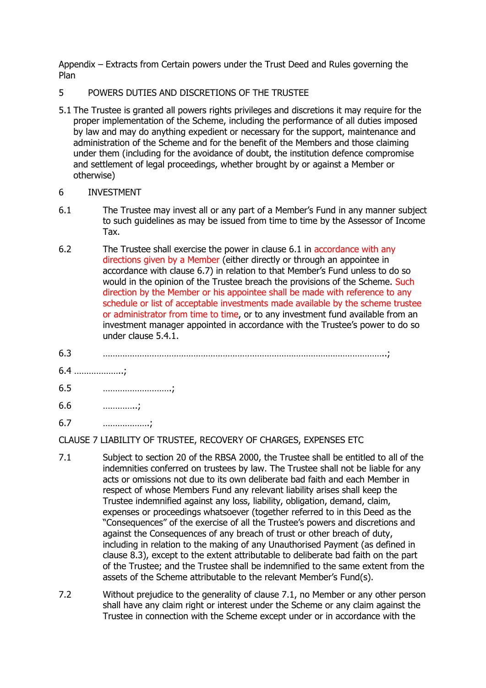Appendix – Extracts from Certain powers under the Trust Deed and Rules governing the Plan

### 5 POWERS DUTIES AND DISCRETIONS OF THE TRUSTEE

5.1 The Trustee is granted all powers rights privileges and discretions it may require for the proper implementation of the Scheme, including the performance of all duties imposed by law and may do anything expedient or necessary for the support, maintenance and administration of the Scheme and for the benefit of the Members and those claiming under them (including for the avoidance of doubt, the institution defence compromise and settlement of legal proceedings, whether brought by or against a Member or otherwise)

### 6 INVESTMENT

- 6.1 The Trustee may invest all or any part of a Member's Fund in any manner subject to such guidelines as may be issued from time to time by the Assessor of Income Tax.
- 6.2 The Trustee shall exercise the power in clause 6.1 in accordance with any directions given by a Member (either directly or through an appointee in accordance with clause 6.7) in relation to that Member's Fund unless to do so would in the opinion of the Trustee breach the provisions of the Scheme. Such direction by the Member or his appointee shall be made with reference to any schedule or list of acceptable investments made available by the scheme trustee or administrator from time to time, or to any investment fund available from an investment manager appointed in accordance with the Trustee's power to do so under clause 5.4.1.
- 6.3 ……………………………………………………………………………………………………..;
- 6.4 ………………..;
- 6.5 ……………………….;
- 6.6 …………..;
- 6.7 ……………….;

# CLAUSE 7 LIABILITY OF TRUSTEE, RECOVERY OF CHARGES, EXPENSES ETC

- 7.1 Subject to section 20 of the RBSA 2000, the Trustee shall be entitled to all of the indemnities conferred on trustees by law. The Trustee shall not be liable for any acts or omissions not due to its own deliberate bad faith and each Member in respect of whose Members Fund any relevant liability arises shall keep the Trustee indemnified against any loss, liability, obligation, demand, claim, expenses or proceedings whatsoever (together referred to in this Deed as the "Consequences" of the exercise of all the Trustee's powers and discretions and against the Consequences of any breach of trust or other breach of duty, including in relation to the making of any Unauthorised Payment (as defined in clause 8.3), except to the extent attributable to deliberate bad faith on the part of the Trustee; and the Trustee shall be indemnified to the same extent from the assets of the Scheme attributable to the relevant Member's Fund(s).
- 7.2 Without prejudice to the generality of clause 7.1, no Member or any other person shall have any claim right or interest under the Scheme or any claim against the Trustee in connection with the Scheme except under or in accordance with the